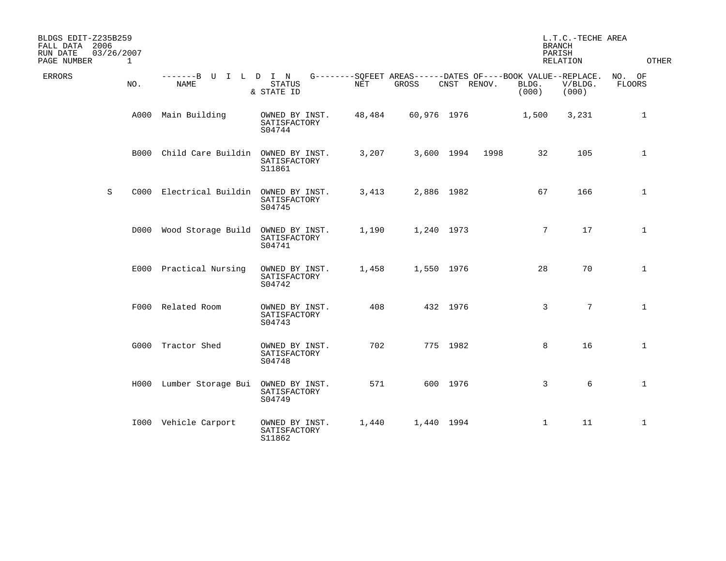| BLDGS EDIT-Z235B259<br>FALL DATA 2006<br>RUN DATE<br>03/26/2007<br>PAGE NUMBER<br>$\mathbf{1}$ |      |                                        |                                          |        |                                                                      |             |      |                | L.T.C.-TECHE AREA<br><b>BRANCH</b><br>PARISH<br>RELATION | <b>OTHER</b>            |
|------------------------------------------------------------------------------------------------|------|----------------------------------------|------------------------------------------|--------|----------------------------------------------------------------------|-------------|------|----------------|----------------------------------------------------------|-------------------------|
| <b>ERRORS</b>                                                                                  | NO.  | -------B U I<br><b>NAME</b>            | L D I N<br><b>STATUS</b><br>& STATE ID   | NET    | G--------SQFEET AREAS------DATES OF----BOOK VALUE--REPLACE.<br>GROSS | CNST RENOV. |      | BLDG.<br>(000) | V/BLDG.<br>(000)                                         | NO. OF<br><b>FLOORS</b> |
|                                                                                                | A000 | Main Building                          | OWNED BY INST.<br>SATISFACTORY<br>S04744 | 48,484 | 60,976 1976                                                          |             |      | 1,500          | 3,231                                                    | $\mathbf{1}$            |
|                                                                                                |      | B000 Child Care Buildin OWNED BY INST. | SATISFACTORY<br>S11861                   | 3,207  | 3,600 1994                                                           |             | 1998 | 32             | 105                                                      | $\mathbf{1}$            |
| S                                                                                              |      | C000 Electrical Buildin OWNED BY INST. | SATISFACTORY<br>S04745                   | 3,413  | 2,886 1982                                                           |             |      | 67             | 166                                                      | $\mathbf{1}$            |
|                                                                                                |      | D000 Wood Storage Build                | OWNED BY INST.<br>SATISFACTORY<br>S04741 | 1,190  | 1,240 1973                                                           |             |      | $7^{\circ}$    | 17                                                       | $\mathbf{1}$            |
|                                                                                                |      | E000 Practical Nursing                 | OWNED BY INST.<br>SATISFACTORY<br>S04742 | 1,458  | 1,550 1976                                                           |             |      | 28             | 70                                                       | $\mathbf{1}$            |
|                                                                                                |      | F000 Related Room                      | OWNED BY INST.<br>SATISFACTORY<br>S04743 | 408    |                                                                      | 432 1976    |      | $\overline{3}$ | $7\overline{ }$                                          | $\mathbf{1}$            |
|                                                                                                |      | G000 Tractor Shed                      | OWNED BY INST.<br>SATISFACTORY<br>S04748 | 702    |                                                                      | 775 1982    |      | 8              | 16                                                       | $\mathbf{1}$            |
|                                                                                                |      | H000 Lumber Storage Bui                | OWNED BY INST.<br>SATISFACTORY<br>S04749 | 571    |                                                                      | 600 1976    |      | 3              | 6                                                        | $\mathbf{1}$            |
|                                                                                                |      | 1000 Vehicle Carport                   | OWNED BY INST.<br>SATISFACTORY<br>S11862 | 1,440  | 1,440 1994                                                           |             |      | $\mathbf{1}$   | 11                                                       | $\mathbf{1}$            |